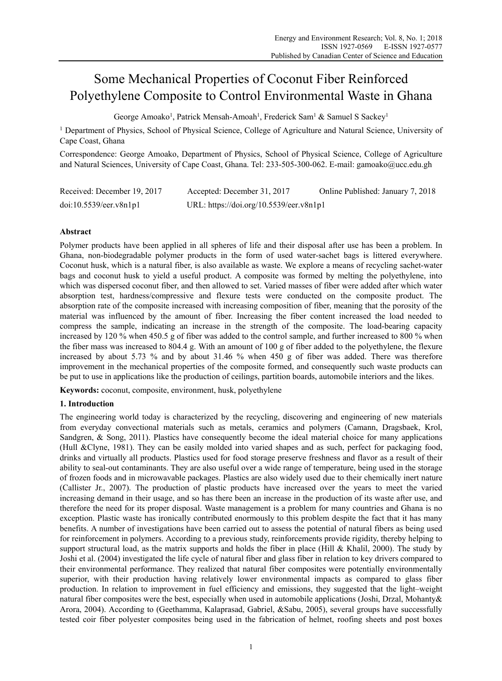# Some Mechanical Properties of Coconut Fiber Reinforced Polyethylene Composite to Control Environmental Waste in Ghana

George Amoako<sup>1</sup>, Patrick Mensah-Amoah<sup>1</sup>, Frederick Sam<sup>1</sup> & Samuel S Sackey<sup>1</sup>

<sup>1</sup> Department of Physics, School of Physical Science, College of Agriculture and Natural Science, University of Cape Coast, Ghana

Correspondence: George Amoako, Department of Physics, School of Physical Science, College of Agriculture and Natural Sciences, University of Cape Coast, Ghana. Tel: 233-505-300-062. E-mail: gamoako@ucc.edu.gh

| Received: December 19, 2017 | Accepted: December 31, 2017             | Online Published: January 7, 2018 |
|-----------------------------|-----------------------------------------|-----------------------------------|
| doi:10.5539/eer.v8n1p1      | URL: https://doi.org/10.5539/eer.v8n1p1 |                                   |

## **Abstract**

Polymer products have been applied in all spheres of life and their disposal after use has been a problem. In Ghana, non-biodegradable polymer products in the form of used water-sachet bags is littered everywhere. Coconut husk, which is a natural fiber, is also available as waste. We explore a means of recycling sachet-water bags and coconut husk to yield a useful product. A composite was formed by melting the polyethylene, into which was dispersed coconut fiber, and then allowed to set. Varied masses of fiber were added after which water absorption test, hardness/compressive and flexure tests were conducted on the composite product. The absorption rate of the composite increased with increasing composition of fiber, meaning that the porosity of the material was influenced by the amount of fiber. Increasing the fiber content increased the load needed to compress the sample, indicating an increase in the strength of the composite. The load-bearing capacity increased by 120 % when 450.5 g of fiber was added to the control sample, and further increased to 800 % when the fiber mass was increased to 804.4 g. With an amount of 100 g of fiber added to the polyethylene, the flexure increased by about 5.73 % and by about 31.46 % when 450 g of fiber was added. There was therefore improvement in the mechanical properties of the composite formed, and consequently such waste products can be put to use in applications like the production of ceilings, partition boards, automobile interiors and the likes.

**Keywords:** coconut, composite, environment, husk, polyethylene

## **1. Introduction**

The engineering world today is characterized by the recycling, discovering and engineering of new materials from everyday convectional materials such as metals, ceramics and polymers (Camann, Dragsbaek, Krol, Sandgren, & Song, 2011). Plastics have consequently become the ideal material choice for many applications (Hull &Clyne, 1981). They can be easily molded into varied shapes and as such, perfect for packaging food, drinks and virtually all products. Plastics used for food storage preserve freshness and flavor as a result of their ability to seal-out contaminants. They are also useful over a wide range of temperature, being used in the storage of frozen foods and in microwavable packages. Plastics are also widely used due to their chemically inert nature (Callister Jr., 2007). The production of plastic products have increased over the years to meet the varied increasing demand in their usage, and so has there been an increase in the production of its waste after use, and therefore the need for its proper disposal. Waste management is a problem for many countries and Ghana is no exception. Plastic waste has ironically contributed enormously to this problem despite the fact that it has many benefits. A number of investigations have been carried out to assess the potential of natural fibers as being used for reinforcement in polymers. According to a previous study, reinforcements provide rigidity, thereby helping to support structural load, as the matrix supports and holds the fiber in place (Hill & Khalil, 2000). The study by Joshi et al. (2004) investigated the life cycle of natural fiber and glass fiber in relation to key drivers compared to their environmental performance. They realized that natural fiber composites were potentially environmentally superior, with their production having relatively lower environmental impacts as compared to glass fiber production. In relation to improvement in fuel efficiency and emissions, they suggested that the light–weight natural fiber composites were the best, especially when used in automobile applications (Joshi, Drzal, Mohanty& Arora, 2004). According to (Geethamma, Kalaprasad, Gabriel, &Sabu, 2005), several groups have successfully tested coir fiber polyester composites being used in the fabrication of helmet, roofing sheets and post boxes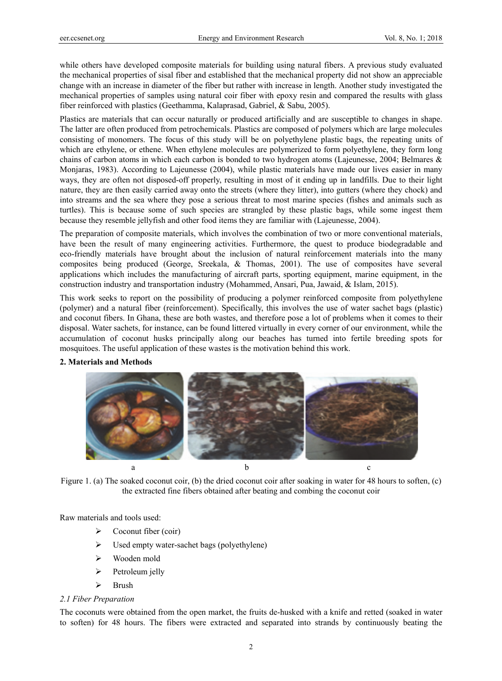while others have developed composite materials for building using natural fibers. A previous study evaluated the mechanical properties of sisal fiber and established that the mechanical property did not show an appreciable change with an increase in diameter of the fiber but rather with increase in length. Another study investigated the mechanical properties of samples using natural coir fiber with epoxy resin and compared the results with glass fiber reinforced with plastics (Geethamma, Kalaprasad, Gabriel, & Sabu, 2005).

Plastics are materials that can occur naturally or produced artificially and are susceptible to changes in shape. The latter are often produced from petrochemicals. Plastics are composed of polymers which are large molecules consisting of monomers. The focus of this study will be on polyethylene plastic bags, the repeating units of which are ethylene, or ethene. When ethylene molecules are polymerized to form polyethylene, they form long chains of carbon atoms in which each carbon is bonded to two hydrogen atoms (Lajeunesse, 2004; Belmares & Monjaras, 1983). According to Lajeunesse (2004), while plastic materials have made our lives easier in many ways, they are often not disposed-off properly, resulting in most of it ending up in landfills. Due to their light nature, they are then easily carried away onto the streets (where they litter), into gutters (where they chock) and into streams and the sea where they pose a serious threat to most marine species (fishes and animals such as turtles). This is because some of such species are strangled by these plastic bags, while some ingest them because they resemble jellyfish and other food items they are familiar with (Lajeunesse, 2004).

The preparation of composite materials, which involves the combination of two or more conventional materials, have been the result of many engineering activities. Furthermore, the quest to produce biodegradable and eco-friendly materials have brought about the inclusion of natural reinforcement materials into the many composites being produced (George, Sreekala, & Thomas, 2001). The use of composites have several applications which includes the manufacturing of aircraft parts, sporting equipment, marine equipment, in the construction industry and transportation industry (Mohammed, Ansari, Pua, Jawaid, & Islam, 2015).

This work seeks to report on the possibility of producing a polymer reinforced composite from polyethylene (polymer) and a natural fiber (reinforcement). Specifically, this involves the use of water sachet bags (plastic) and coconut fibers. In Ghana, these are both wastes, and therefore pose a lot of problems when it comes to their disposal. Water sachets, for instance, can be found littered virtually in every corner of our environment, while the accumulation of coconut husks principally along our beaches has turned into fertile breeding spots for mosquitoes. The useful application of these wastes is the motivation behind this work.

## **2. Materials and Methods**



Figure 1. (a) The soaked coconut coir, (b) the dried coconut coir after soaking in water for 48 hours to soften, (c) the extracted fine fibers obtained after beating and combing the coconut coir

Raw materials and tools used:

- Coconut fiber (coir)
- Used empty water-sachet bags (polyethylene)
- Wooden mold
- $\triangleright$  Petroleum jelly
- > Brush

#### *2.1 Fiber Preparation*

The coconuts were obtained from the open market, the fruits de-husked with a knife and retted (soaked in water to soften) for 48 hours. The fibers were extracted and separated into strands by continuously beating the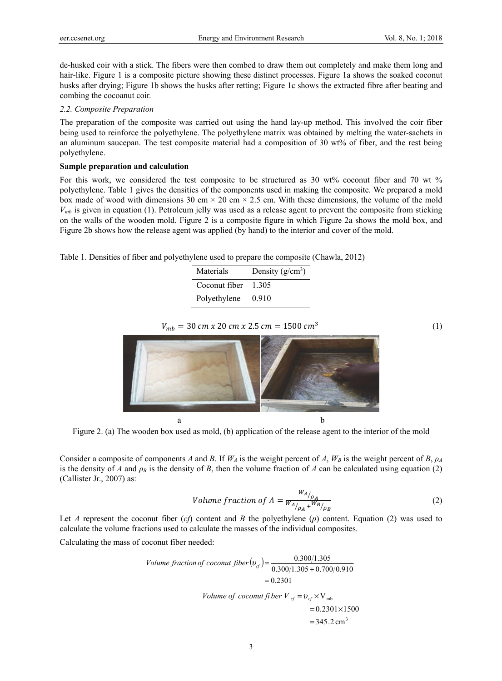de-husked coir with a stick. The fibers were then combed to draw them out completely and make them long and hair-like. Figure 1 is a composite picture showing these distinct processes. Figure 1a shows the soaked coconut husks after drying; Figure 1b shows the husks after retting; Figure 1c shows the extracted fibre after beating and combing the cocoanut coir.

### *2.2. Composite Preparation*

The preparation of the composite was carried out using the hand lay-up method. This involved the coir fiber being used to reinforce the polyethylene. The polyethylene matrix was obtained by melting the water-sachets in an aluminum saucepan. The test composite material had a composition of 30 wt% of fiber, and the rest being polyethylene.

### **Sample preparation and calculation**

For this work, we considered the test composite to be structured as 30 wt% coconut fiber and 70 wt % polyethylene. Table 1 gives the densities of the components used in making the composite. We prepared a mold box made of wood with dimensions 30 cm  $\times$  20 cm  $\times$  2.5 cm. With these dimensions, the volume of the mold *Vmb* is given in equation (1). Petroleum jelly was used as a release agent to prevent the composite from sticking on the walls of the wooden mold. Figure 2 is a composite figure in which Figure 2a shows the mold box, and Figure 2b shows how the release agent was applied (by hand) to the interior and cover of the mold.

Table 1. Densities of fiber and polyethylene used to prepare the composite (Chawla, 2012)

| Materials     | Density $(g/cm^3)$ |
|---------------|--------------------|
| Coconut fiber | 1.305              |
| Polyethylene  | 0.910              |





Figure 2. (a) The wooden box used as mold, (b) application of the release agent to the interior of the mold

Consider a composite of components *A* and *B*. If  $W_A$  is the weight percent of *A*,  $W_B$  is the weight percent of *B*,  $\rho_A$ is the density of *A* and  $\rho_B$  is the density of *B*, then the volume fraction of *A* can be calculated using equation (2) (Callister Jr., 2007) as:

Volume fraction of 
$$
A = \frac{W_{A/_{\rho_A}}}{W_{A/_{\rho_A} + W_B/_{\rho_B}}}
$$
 (2)

Let *A* represent the coconut fiber (*cf*) content and *B* the polyethylene (*p*) content. Equation (2) was used to calculate the volume fractions used to calculate the masses of the individual composites.

Calculating the mass of coconut fiber needed:

Volume fraction of coconut fiber 
$$
(v_{cf}) = \frac{0.300/1.305}{0.300/1.305 + 0.700/0.910}
$$
  
= 0.2301  
Volume of coconut fi ber  $V_{cf} = v_{cf} \times V_{mb}$   
= 0.2301×1500  
= 345.2 cm<sup>3</sup>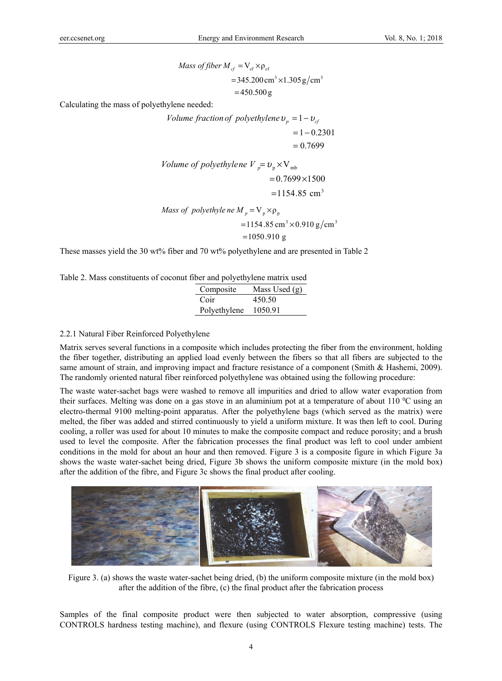Mass of fiber 
$$
M_{cf} = V_{cf} \times \rho_{cf}
$$
  
= 345.200 cm<sup>3</sup>×1.305 g/cm<sup>3</sup>  
= 450.500 g

Calculating the mass of polyethylene needed:

Volume fraction of polyethylene 
$$
v_p = 1 - v_{cf}
$$
  
= 1 - 0.2301  
= 0.7699

Volume of polyethylene 
$$
V_p = v_p \times V_{mb}
$$
  
= 0.7699×1500  
= 1154.85 cm<sup>3</sup>

Mass of polyethyle ne 
$$
M_p = V_p \times \rho_p
$$
  
= 1154.85 cm<sup>3</sup> × 0.910 g/cm<sup>3</sup>  
= 1050.910 g

These masses yield the 30 wt% fiber and 70 wt% polyethylene and are presented in Table 2

Table 2. Mass constituents of coconut fiber and polyethylene matrix used

| Composite    | Mass Used $(g)$ |
|--------------|-----------------|
| Coir         | 450.50          |
| Polyethylene | 1050.91         |

### 2.2.1 Natural Fiber Reinforced Polyethylene

Matrix serves several functions in a composite which includes protecting the fiber from the environment, holding the fiber together, distributing an applied load evenly between the fibers so that all fibers are subjected to the same amount of strain, and improving impact and fracture resistance of a component (Smith & Hashemi, 2009). The randomly oriented natural fiber reinforced polyethylene was obtained using the following procedure:

The waste water-sachet bags were washed to remove all impurities and dried to allow water evaporation from their surfaces. Melting was done on a gas stove in an aluminium pot at a temperature of about 110 °C using an electro-thermal 9100 melting-point apparatus. After the polyethylene bags (which served as the matrix) were melted, the fiber was added and stirred continuously to yield a uniform mixture. It was then left to cool. During cooling, a roller was used for about 10 minutes to make the composite compact and reduce porosity; and a brush used to level the composite. After the fabrication processes the final product was left to cool under ambient conditions in the mold for about an hour and then removed. Figure 3 is a composite figure in which Figure 3a shows the waste water-sachet being dried, Figure 3b shows the uniform composite mixture (in the mold box) after the addition of the fibre, and Figure 3c shows the final product after cooling.



Figure 3. (a) shows the waste water-sachet being dried, (b) the uniform composite mixture (in the mold box) after the addition of the fibre, (c) the final product after the fabrication process

Samples of the final composite product were then subjected to water absorption, compressive (using CONTROLS hardness testing machine), and flexure (using CONTROLS Flexure testing machine) tests. The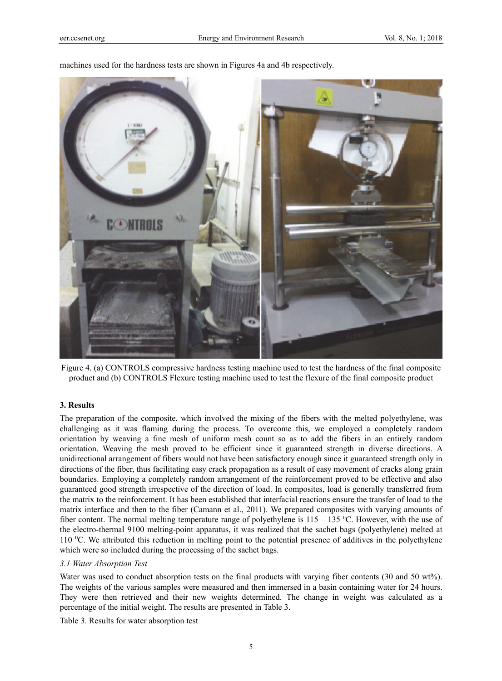

machines used for the hardness tests are shown in Figures 4a and 4b respectively.

Figure 4. (a) CONTROLS compressive hardness testing machine used to test the hardness of the final composite product and (b) CONTROLS Flexure testing machine used to test the flexure of the final composite product

#### **3. Results**

The preparation of the composite, which involved the mixing of the fibers with the melted polyethylene, was challenging as it was flaming during the process. To overcome this, we employed a completely random orientation by weaving a fine mesh of uniform mesh count so as to add the fibers in an entirely random orientation. Weaving the mesh proved to be efficient since it guaranteed strength in diverse directions. A unidirectional arrangement of fibers would not have been satisfactory enough since it guaranteed strength only in directions of the fiber, thus facilitating easy crack propagation as a result of easy movement of cracks along grain boundaries. Employing a completely random arrangement of the reinforcement proved to be effective and also guaranteed good strength irrespective of the direction of load. In composites, load is generally transferred from the matrix to the reinforcement. It has been established that interfacial reactions ensure the transfer of load to the matrix interface and then to the fiber (Camann et al., 2011). We prepared composites with varying amounts of fiber content. The normal melting temperature range of polyethylene is  $115 - 135$  °C. However, with the use of the electro-thermal 9100 melting-point apparatus, it was realized that the sachet bags (polyethylene) melted at 110 °C. We attributed this reduction in melting point to the potential presence of additives in the polyethylene which were so included during the processing of the sachet bags.

#### *3.1 Water Absorption Test*

Water was used to conduct absorption tests on the final products with varying fiber contents (30 and 50 wt%). The weights of the various samples were measured and then immersed in a basin containing water for 24 hours. They were then retrieved and their new weights determined. The change in weight was calculated as a percentage of the initial weight. The results are presented in Table 3.

Table 3. Results for water absorption test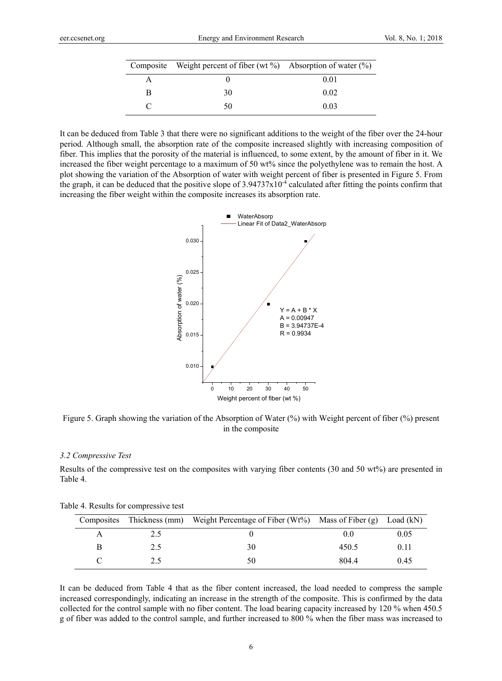| Composite Weight percent of fiber (wt %) Absorption of water $(\%)$ |      |
|---------------------------------------------------------------------|------|
|                                                                     | 0.01 |
| 30                                                                  | 0.02 |
| 50                                                                  | 0.03 |

It can be deduced from Table 3 that there were no significant additions to the weight of the fiber over the 24-hour period. Although small, the absorption rate of the composite increased slightly with increasing composition of fiber. This implies that the porosity of the material is influenced, to some extent, by the amount of fiber in it. We increased the fiber weight percentage to a maximum of 50 wt% since the polyethylene was to remain the host. A plot showing the variation of the Absorption of water with weight percent of fiber is presented in Figure 5. From the graph, it can be deduced that the positive slope of  $3.94737 \times 10^{-4}$  calculated after fitting the points confirm that increasing the fiber weight within the composite increases its absorption rate.



Figure 5. Graph showing the variation of the Absorption of Water (%) with Weight percent of fiber (%) present in the composite

#### *3.2 Compressive Test*

Results of the compressive test on the composites with varying fiber contents (30 and 50 wt%) are presented in Table 4.

|     | Composites Thickness (mm) Weight Percentage of Fiber (Wt%) Mass of Fiber (g) Load (kN) |       |      |
|-----|----------------------------------------------------------------------------------------|-------|------|
|     |                                                                                        |       | 0.05 |
| 2.5 |                                                                                        | 450.5 | 0.11 |
|     | .)U                                                                                    | 804.4 | 0.45 |

Table 4. Results for compressive test

It can be deduced from Table 4 that as the fiber content increased, the load needed to compress the sample increased correspondingly, indicating an increase in the strength of the composite. This is confirmed by the data collected for the control sample with no fiber content. The load bearing capacity increased by 120 % when 450.5 g of fiber was added to the control sample, and further increased to 800 % when the fiber mass was increased to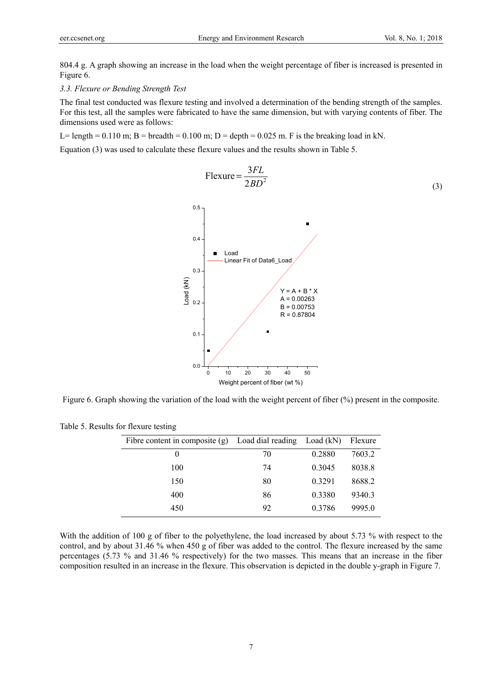804.4 g. A graph showing an increase in the load when the weight percentage of fiber is increased is presented in Figure 6.

*3.3. Flexure or Bending Strength Test* 

The final test conducted was flexure testing and involved a determination of the bending strength of the samples. For this test, all the samples were fabricated to have the same dimension, but with varying contents of fiber. The dimensions used were as follows:

L= length =  $0.110$  m; B = breadth =  $0.100$  m; D = depth =  $0.025$  m. F is the breaking load in kN.

Equation (3) was used to calculate these flexure values and the results shown in Table 5.



Figure 6. Graph showing the variation of the load with the weight percent of fiber (%) present in the composite.

| Fibre content in composite (g) Load dial reading Load (kN) |    |        | Flexure |
|------------------------------------------------------------|----|--------|---------|
| 0                                                          | 70 | 0.2880 | 7603.2  |
| 100                                                        | 74 | 0.3045 | 8038.8  |
| 150                                                        | 80 | 0.3291 | 8688.2  |
| 400                                                        | 86 | 0.3380 | 9340.3  |
| 450                                                        | 92 | 0.3786 | 9995.0  |

Table 5. Results for flexure testing

With the addition of 100 g of fiber to the polyethylene, the load increased by about 5.73 % with respect to the control, and by about 31.46 % when 450 g of fiber was added to the control. The flexure increased by the same percentages (5.73 % and 31.46 % respectively) for the two masses. This means that an increase in the fiber composition resulted in an increase in the flexure. This observation is depicted in the double y-graph in Figure 7.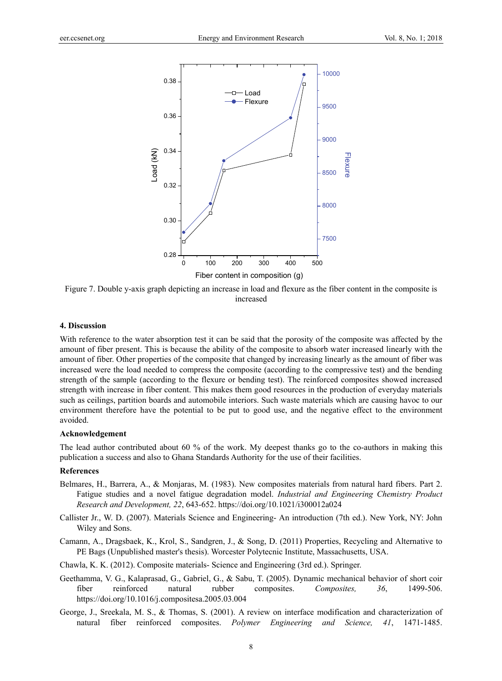

Figure 7. Double y-axis graph depicting an increase in load and flexure as the fiber content in the composite is increased

#### **4. Discussion**

With reference to the water absorption test it can be said that the porosity of the composite was affected by the amount of fiber present. This is because the ability of the composite to absorb water increased linearly with the amount of fiber. Other properties of the composite that changed by increasing linearly as the amount of fiber was increased were the load needed to compress the composite (according to the compressive test) and the bending strength of the sample (according to the flexure or bending test). The reinforced composites showed increased strength with increase in fiber content. This makes them good resources in the production of everyday materials such as ceilings, partition boards and automobile interiors. Such waste materials which are causing havoc to our environment therefore have the potential to be put to good use, and the negative effect to the environment avoided.

#### **Acknowledgement**

The lead author contributed about 60 % of the work. My deepest thanks go to the co-authors in making this publication a success and also to Ghana Standards Authority for the use of their facilities.

#### **References**

- Belmares, H., Barrera, A., & Monjaras, M. (1983). New composites materials from natural hard fibers. Part 2. Fatigue studies and a novel fatigue degradation model. *Industrial and Engineering Chemistry Product Research and Development, 22*, 643-652. https://doi.org/10.1021/i300012a024
- Callister Jr., W. D. (2007). Materials Science and Engineering- An introduction (7th ed.). New York, NY: John Wiley and Sons.
- Camann, A., Dragsbaek, K., Krol, S., Sandgren, J., & Song, D. (2011) Properties, Recycling and Alternative to PE Bags (Unpublished master's thesis). Worcester Polytecnic Institute, Massachusetts, USA.
- Chawla, K. K. (2012). Composite materials- Science and Engineering (3rd ed.). Springer.
- Geethamma, V. G., Kalaprasad, G., Gabriel, G., & Sabu, T. (2005). Dynamic mechanical behavior of short coir fiber reinforced natural rubber composites. *Composites, 36*, 1499-506. https://doi.org/10.1016/j.compositesa.2005.03.004
- George, J., Sreekala, M. S., & Thomas, S. (2001). A review on interface modification and characterization of natural fiber reinforced composites. *Polymer Engineering and Science, 41*, 1471-1485.